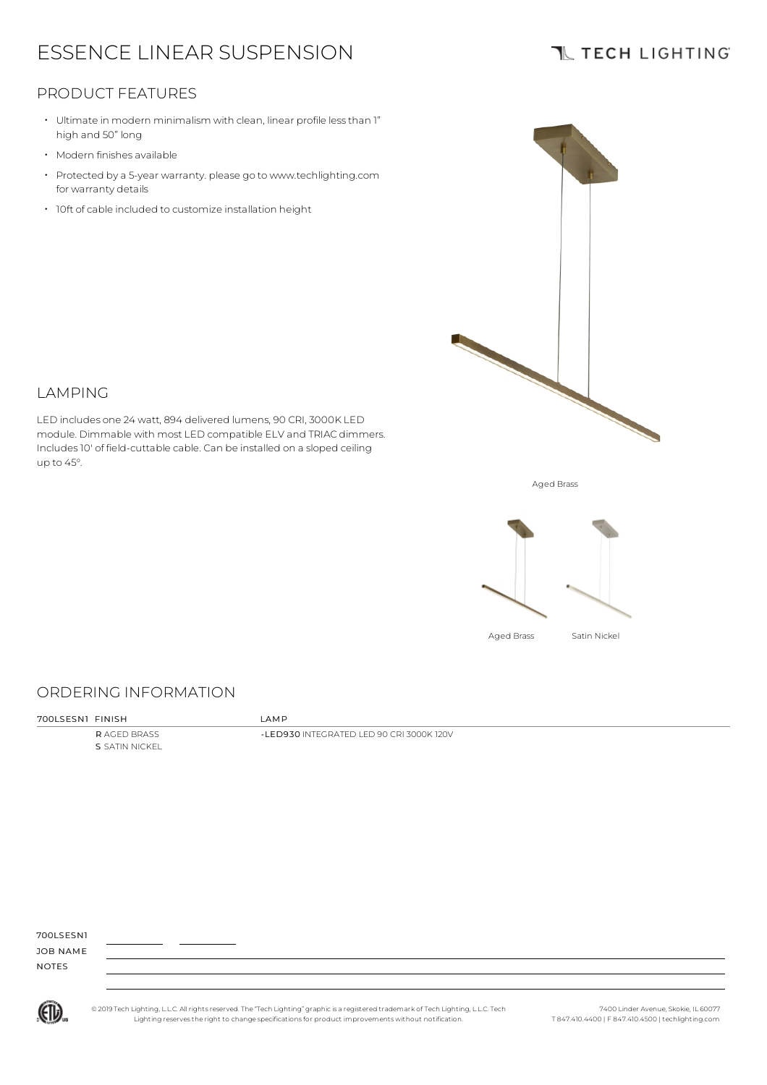# ESSENCE LINEAR SUSPENSION

### **TL TECH LIGHTING**

### PRODUCT FEATURES

- Ultimate in modern minimalism with clean, linear profile lessthan 1" high and 50" long
- Modern finishes available
- Protected by a 5-year warranty. please go to www.techlighting.com for warranty details
- 10ft of cable included to customize installation height



#### LAMPING

LED includes one 24 watt, 894 delivered lumens, 90 CRI, 3000K LED module. Dimmable with most LED compatible ELV and TRIAC dimmers. Includes10' of field-cuttable cable. Can be installed on a sloped ceiling up to 45°.

Aged Brass



### ORDERING INFORMATION

700LSESN1 FINISH LAMP

R AGED BRASS S SATIN NICKEL

-LED930 INTEGRATED LED 90 CRI 3000K 120V

700LSESN1

JOB NAME NOTES



© 2019 Tech Lighting, L.L.C. All rightsreserved. The "Tech Lighting" graphicis a registered trademark of Tech Lighting, L.L.C. Tech Lighting reservesthe right to change specificationsfor product improvements without notification.

7400 Linder Avenue, Skokie, IL 60077 T 847.410.4400 | F 847.410.4500 | techlighting.com